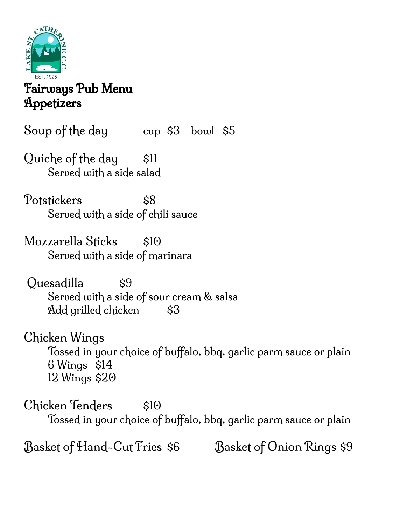

## Fairways Pub Menu **Appetizers**

Soup of the day cup \$3 bowl \$5

Quiche of the day \$11 Served with a side salad

Potstickers \$8 Served with a side of chili sauce

Mozzarella Sticks \$10 Served with a side of marinara

Quesadilla \$9 Served with a side of sour cream & salsa Add grilled chicken \$3

Chicken Wings Tossed in your choice of buffalo, bbq, garlic parm sauce or plain 6 Wings \$14 12 Wings \$20

Chicken Tenders \$10 Tossed in your choice of buffalo, bbq, garlic parm sauce or plain

Basket of Hand-Cut Fries \$6 Basket of Onion Rings \$9